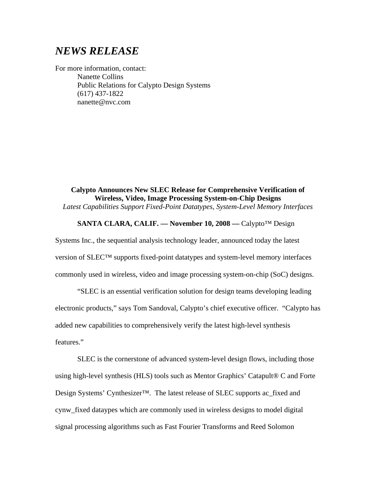# *NEWS RELEASE*

For more information, contact: Nanette Collins Public Relations for Calypto Design Systems (617) 437-1822 nanette@nvc.com

**Calypto Announces New SLEC Release for Comprehensive Verification of Wireless, Video, Image Processing System-on-Chip Designs**  *Latest Capabilities Support Fixed-Point Datatypes, System-Level Memory Interfaces* 

## **SANTA CLARA, CALIF. –– November 10, 2008 ––** Calypto™ Design

Systems Inc., the sequential analysis technology leader, announced today the latest version of SLEC™ supports fixed-point datatypes and system-level memory interfaces commonly used in wireless, video and image processing system-on-chip (SoC) designs.

"SLEC is an essential verification solution for design teams developing leading electronic products," says Tom Sandoval, Calypto's chief executive officer. "Calypto has added new capabilities to comprehensively verify the latest high-level synthesis features."

SLEC is the cornerstone of advanced system-level design flows, including those using high-level synthesis (HLS) tools such as Mentor Graphics' Catapult® C and Forte Design Systems' Cynthesizer<sup>™.</sup> The latest release of SLEC supports ac\_fixed and cynw\_fixed dataypes which are commonly used in wireless designs to model digital signal processing algorithms such as Fast Fourier Transforms and Reed Solomon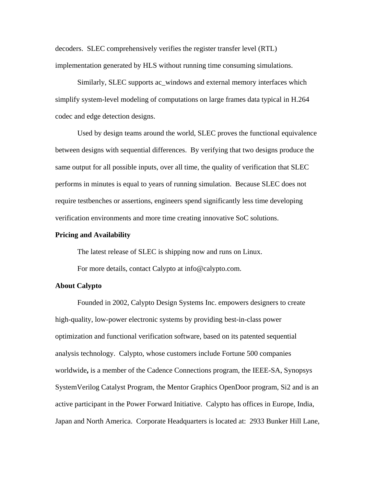decoders. SLEC comprehensively verifies the register transfer level (RTL) implementation generated by HLS without running time consuming simulations.

Similarly, SLEC supports ac\_windows and external memory interfaces which simplify system-level modeling of computations on large frames data typical in H.264 codec and edge detection designs.

Used by design teams around the world, SLEC proves the functional equivalence between designs with sequential differences. By verifying that two designs produce the same output for all possible inputs, over all time, the quality of verification that SLEC performs in minutes is equal to years of running simulation. Because SLEC does not require testbenches or assertions, engineers spend significantly less time developing verification environments and more time creating innovative SoC solutions.

#### **Pricing and Availability**

The latest release of SLEC is shipping now and runs on Linux.

For more details, contact Calypto at info@calypto.com.

### **About Calypto**

Founded in 2002, Calypto Design Systems Inc. empowers designers to create high-quality, low-power electronic systems by providing best-in-class power optimization and functional verification software, based on its patented sequential analysis technology. Calypto, whose customers include Fortune 500 companies worldwide**,** is a member of the Cadence Connections program, the IEEE-SA, Synopsys SystemVerilog Catalyst Program, the Mentor Graphics OpenDoor program, Si2 and is an active participant in the Power Forward Initiative. Calypto has offices in Europe, India, Japan and North America. Corporate Headquarters is located at: 2933 Bunker Hill Lane,